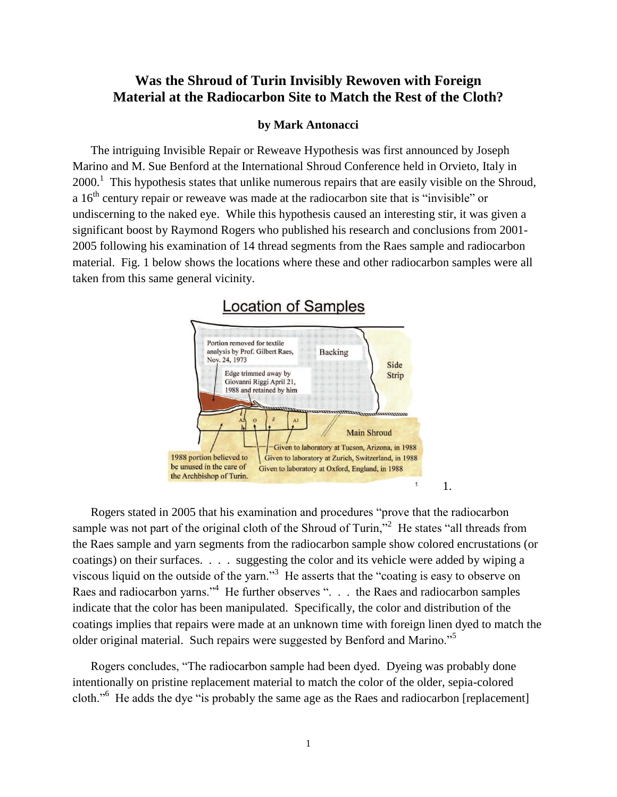## **Was the Shroud of Turin Invisibly Rewoven with Foreign Material at the Radiocarbon Site to Match the Rest of the Cloth?**

#### **by Mark Antonacci**

The intriguing Invisible Repair or Reweave Hypothesis was first announced by Joseph Marino and M. Sue Benford at the International Shroud Conference held in Orvieto, Italy in  $2000$ .<sup>1</sup> This hypothesis states that unlike numerous repairs that are easily visible on the Shroud, a  $16<sup>th</sup>$  century repair or reweave was made at the radiocarbon site that is "invisible" or undiscerning to the naked eye. While this hypothesis caused an interesting stir, it was given a significant boost by Raymond Rogers who published his research and conclusions from 2001- 2005 following his examination of 14 thread segments from the Raes sample and radiocarbon material. Fig. 1 below shows the locations where these and other radiocarbon samples were all taken from this same general vicinity.



Rogers stated in 2005 that his examination and procedures "prove that the radiocarbon sample was not part of the original cloth of the Shroud of Turin,"<sup>2</sup> He states "all threads from the Raes sample and yarn segments from the radiocarbon sample show colored encrustations (or coatings) on their surfaces. . . . suggesting the color and its vehicle were added by wiping a viscous liquid on the outside of the yarn."<sup>3</sup> He asserts that the "coating is easy to observe on Raes and radiocarbon yarns."<sup>4</sup> He further observes ". . . the Raes and radiocarbon samples indicate that the color has been manipulated. Specifically, the color and distribution of the coatings implies that repairs were made at an unknown time with foreign linen dyed to match the older original material. Such repairs were suggested by Benford and Marino."<sup>5</sup>

Rogers concludes, "The radiocarbon sample had been dyed. Dyeing was probably done intentionally on pristine replacement material to match the color of the older, sepia-colored cloth."<sup>6</sup> He adds the dye "is probably the same age as the Raes and radiocarbon [replacement]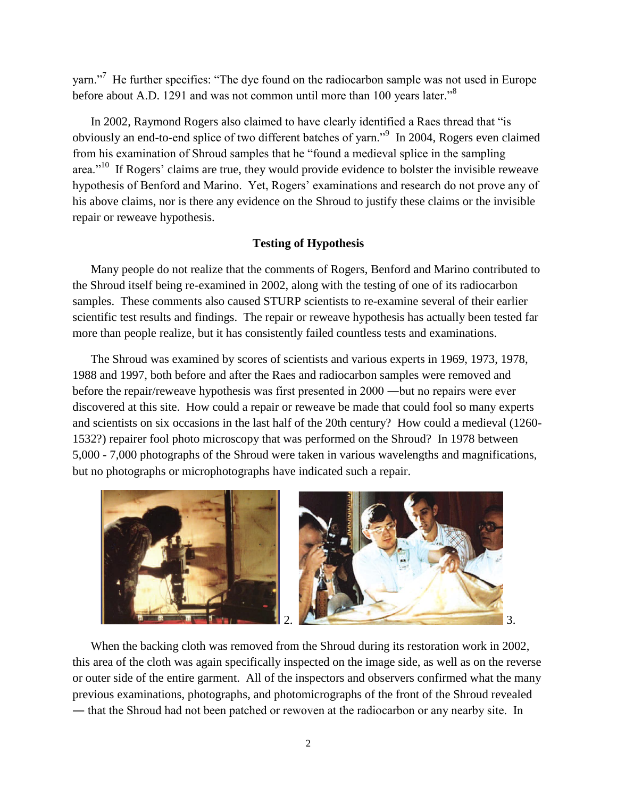yarn."<sup>7</sup> He further specifies: "The dye found on the radiocarbon sample was not used in Europe before about A.D. 1291 and was not common until more than 100 years later."<sup>8</sup>

In 2002, Raymond Rogers also claimed to have clearly identified a Raes thread that "is obviously an end-to-end splice of two different batches of yarn."<sup>9</sup> In 2004, Rogers even claimed from his examination of Shroud samples that he "found a medieval splice in the sampling area."<sup>10</sup> If Rogers' claims are true, they would provide evidence to bolster the invisible reweave hypothesis of Benford and Marino. Yet, Rogers' examinations and research do not prove any of his above claims, nor is there any evidence on the Shroud to justify these claims or the invisible repair or reweave hypothesis.

### **Testing of Hypothesis**

Many people do not realize that the comments of Rogers, Benford and Marino contributed to the Shroud itself being re-examined in 2002, along with the testing of one of its radiocarbon samples. These comments also caused STURP scientists to re-examine several of their earlier scientific test results and findings. The repair or reweave hypothesis has actually been tested far more than people realize, but it has consistently failed countless tests and examinations.

The Shroud was examined by scores of scientists and various experts in 1969, 1973, 1978, 1988 and 1997, both before and after the Raes and radiocarbon samples were removed and before the repair/reweave hypothesis was first presented in 2000 ―but no repairs were ever discovered at this site. How could a repair or reweave be made that could fool so many experts and scientists on six occasions in the last half of the 20th century? How could a medieval (1260- 1532?) repairer fool photo microscopy that was performed on the Shroud? In 1978 between 5,000 - 7,000 photographs of the Shroud were taken in various wavelengths and magnifications, but no photographs or microphotographs have indicated such a repair.



When the backing cloth was removed from the Shroud during its restoration work in 2002, this area of the cloth was again specifically inspected on the image side, as well as on the reverse or outer side of the entire garment. All of the inspectors and observers confirmed what the many previous examinations, photographs, and photomicrographs of the front of the Shroud revealed ― that the Shroud had not been patched or rewoven at the radiocarbon or any nearby site. In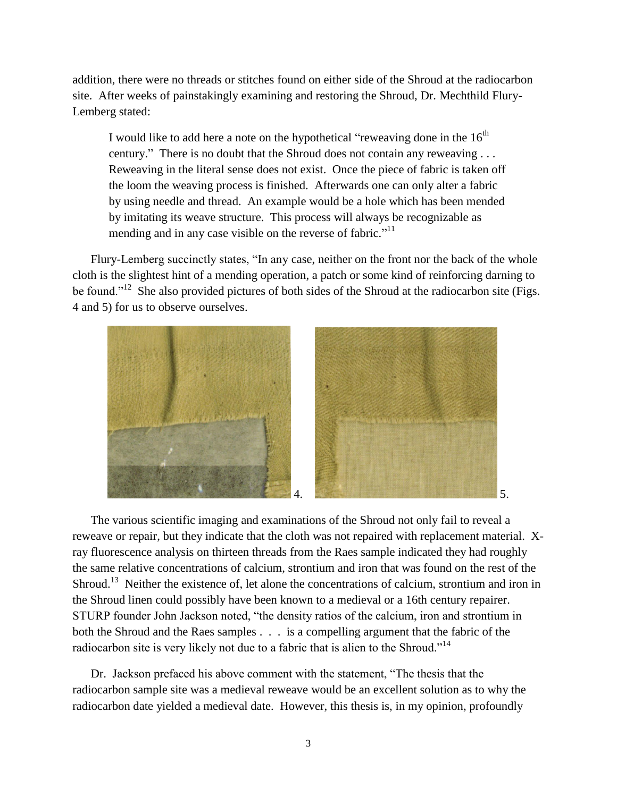addition, there were no threads or stitches found on either side of the Shroud at the radiocarbon site. After weeks of painstakingly examining and restoring the Shroud, Dr. Mechthild Flury-Lemberg stated:

I would like to add here a note on the hypothetical "reweaving done in the  $16<sup>th</sup>$ century." There is no doubt that the Shroud does not contain any reweaving . . . Reweaving in the literal sense does not exist. Once the piece of fabric is taken off the loom the weaving process is finished. Afterwards one can only alter a fabric by using needle and thread. An example would be a hole which has been mended by imitating its weave structure. This process will always be recognizable as mending and in any case visible on the reverse of fabric."<sup>11</sup>

Flury-Lemberg succinctly states, "In any case, neither on the front nor the back of the whole cloth is the slightest hint of a mending operation, a patch or some kind of reinforcing darning to be found."<sup>12</sup> She also provided pictures of both sides of the Shroud at the radiocarbon site (Figs. 4 and 5) for us to observe ourselves.



The various scientific imaging and examinations of the Shroud not only fail to reveal a reweave or repair, but they indicate that the cloth was not repaired with replacement material. Xray fluorescence analysis on thirteen threads from the Raes sample indicated they had roughly the same relative concentrations of calcium, strontium and iron that was found on the rest of the Shroud.<sup>13</sup> Neither the existence of, let alone the concentrations of calcium, strontium and iron in the Shroud linen could possibly have been known to a medieval or a 16th century repairer. STURP founder John Jackson noted, "the density ratios of the calcium, iron and strontium in both the Shroud and the Raes samples . . . is a compelling argument that the fabric of the radiocarbon site is very likely not due to a fabric that is alien to the Shroud."<sup>14</sup>

Dr. Jackson prefaced his above comment with the statement, "The thesis that the radiocarbon sample site was a medieval reweave would be an excellent solution as to why the radiocarbon date yielded a medieval date. However, this thesis is, in my opinion, profoundly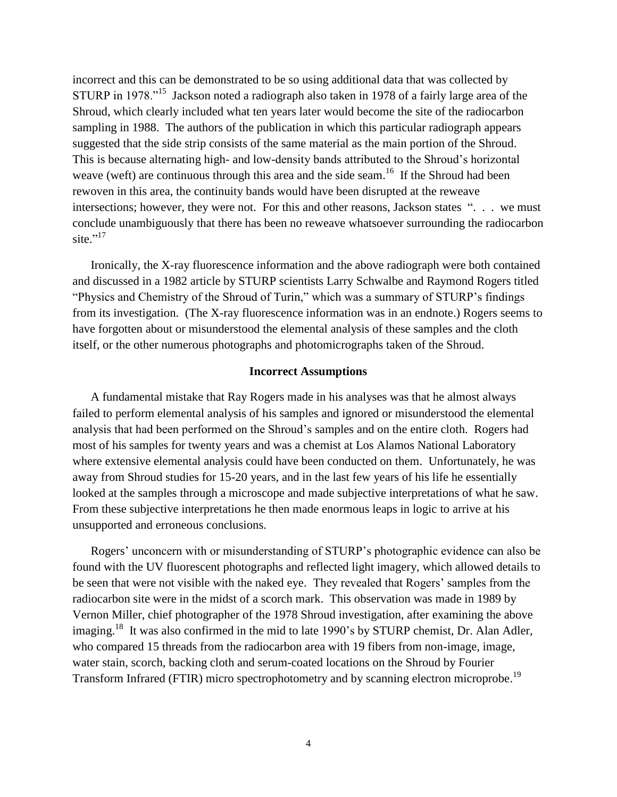incorrect and this can be demonstrated to be so using additional data that was collected by STURP in 1978."<sup>15</sup> Jackson noted a radiograph also taken in 1978 of a fairly large area of the Shroud, which clearly included what ten years later would become the site of the radiocarbon sampling in 1988. The authors of the publication in which this particular radiograph appears suggested that the side strip consists of the same material as the main portion of the Shroud. This is because alternating high- and low-density bands attributed to the Shroud's horizontal weave (weft) are continuous through this area and the side seam.<sup>16</sup> If the Shroud had been rewoven in this area, the continuity bands would have been disrupted at the reweave intersections; however, they were not. For this and other reasons, Jackson states ". . . we must conclude unambiguously that there has been no reweave whatsoever surrounding the radiocarbon site."<sup>17</sup>

Ironically, the X-ray fluorescence information and the above radiograph were both contained and discussed in a 1982 article by STURP scientists Larry Schwalbe and Raymond Rogers titled "Physics and Chemistry of the Shroud of Turin," which was a summary of STURP's findings from its investigation. (The X-ray fluorescence information was in an endnote.) Rogers seems to have forgotten about or misunderstood the elemental analysis of these samples and the cloth itself, or the other numerous photographs and photomicrographs taken of the Shroud.

#### **Incorrect Assumptions**

A fundamental mistake that Ray Rogers made in his analyses was that he almost always failed to perform elemental analysis of his samples and ignored or misunderstood the elemental analysis that had been performed on the Shroud's samples and on the entire cloth. Rogers had most of his samples for twenty years and was a chemist at Los Alamos National Laboratory where extensive elemental analysis could have been conducted on them. Unfortunately, he was away from Shroud studies for 15-20 years, and in the last few years of his life he essentially looked at the samples through a microscope and made subjective interpretations of what he saw. From these subjective interpretations he then made enormous leaps in logic to arrive at his unsupported and erroneous conclusions.

Rogers' unconcern with or misunderstanding of STURP's photographic evidence can also be found with the UV fluorescent photographs and reflected light imagery, which allowed details to be seen that were not visible with the naked eye. They revealed that Rogers' samples from the radiocarbon site were in the midst of a scorch mark. This observation was made in 1989 by Vernon Miller, chief photographer of the 1978 Shroud investigation, after examining the above imaging.<sup>18</sup> It was also confirmed in the mid to late 1990's by STURP chemist, Dr. Alan Adler, who compared 15 threads from the radiocarbon area with 19 fibers from non-image, image, water stain, scorch, backing cloth and serum-coated locations on the Shroud by Fourier Transform Infrared (FTIR) micro spectrophotometry and by scanning electron microprobe.<sup>19</sup>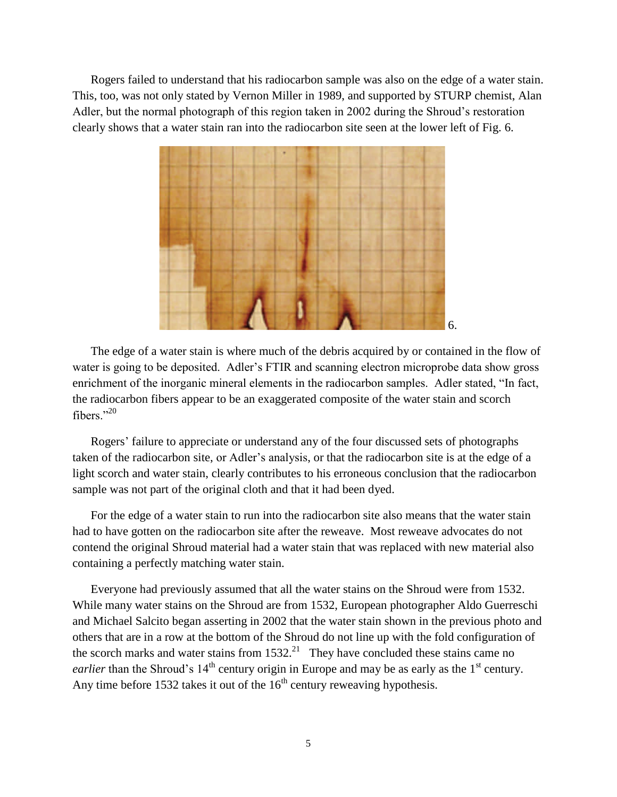Rogers failed to understand that his radiocarbon sample was also on the edge of a water stain. This, too, was not only stated by Vernon Miller in 1989, and supported by STURP chemist, Alan Adler, but the normal photograph of this region taken in 2002 during the Shroud's restoration clearly shows that a water stain ran into the radiocarbon site seen at the lower left of Fig. 6.



The edge of a water stain is where much of the debris acquired by or contained in the flow of water is going to be deposited. Adler's FTIR and scanning electron microprobe data show gross enrichment of the inorganic mineral elements in the radiocarbon samples. Adler stated, "In fact, the radiocarbon fibers appear to be an exaggerated composite of the water stain and scorch fibers." $^{20}$ 

Rogers' failure to appreciate or understand any of the four discussed sets of photographs taken of the radiocarbon site, or Adler's analysis, or that the radiocarbon site is at the edge of a light scorch and water stain, clearly contributes to his erroneous conclusion that the radiocarbon sample was not part of the original cloth and that it had been dyed.

For the edge of a water stain to run into the radiocarbon site also means that the water stain had to have gotten on the radiocarbon site after the reweave. Most reweave advocates do not contend the original Shroud material had a water stain that was replaced with new material also containing a perfectly matching water stain.

Everyone had previously assumed that all the water stains on the Shroud were from 1532. While many water stains on the Shroud are from 1532, European photographer Aldo Guerreschi and Michael Salcito began asserting in 2002 that the water stain shown in the previous photo and others that are in a row at the bottom of the Shroud do not line up with the fold configuration of the scorch marks and water stains from  $1532<sup>21</sup>$  They have concluded these stains came no *earlier* than the Shroud's  $14<sup>th</sup>$  century origin in Europe and may be as early as the  $1<sup>st</sup>$  century. Any time before 1532 takes it out of the  $16<sup>th</sup>$  century reweaving hypothesis.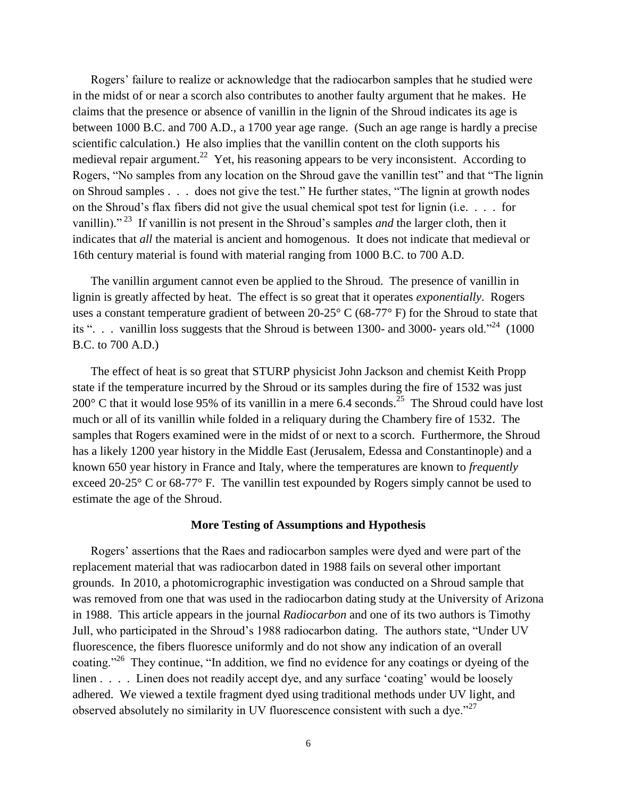Rogers' failure to realize or acknowledge that the radiocarbon samples that he studied were in the midst of or near a scorch also contributes to another faulty argument that he makes. He claims that the presence or absence of vanillin in the lignin of the Shroud indicates its age is between 1000 B.C. and 700 A.D., a 1700 year age range. (Such an age range is hardly a precise scientific calculation.) He also implies that the vanillin content on the cloth supports his medieval repair argument.<sup>22</sup> Yet, his reasoning appears to be very inconsistent. According to Rogers, "No samples from any location on the Shroud gave the vanillin test" and that "The lignin on Shroud samples . . . does not give the test." He further states, "The lignin at growth nodes on the Shroud's flax fibers did not give the usual chemical spot test for lignin (i.e. . . . for vanillin)." <sup>23</sup> If vanillin is not present in the Shroud's samples *and* the larger cloth, then it indicates that *all* the material is ancient and homogenous. It does not indicate that medieval or 16th century material is found with material ranging from 1000 B.C. to 700 A.D.

The vanillin argument cannot even be applied to the Shroud. The presence of vanillin in lignin is greatly affected by heat. The effect is so great that it operates *exponentially*. Rogers uses a constant temperature gradient of between 20-25° C (68-77° F) for the Shroud to state that its ". . . vanillin loss suggests that the Shroud is between 1300- and 3000- years old."<sup>24</sup> (1000) B.C. to 700 A.D.)

The effect of heat is so great that STURP physicist John Jackson and chemist Keith Propp state if the temperature incurred by the Shroud or its samples during the fire of 1532 was just 200 $^{\circ}$  C that it would lose 95% of its vanillin in a mere 6.4 seconds.<sup>25</sup> The Shroud could have lost much or all of its vanillin while folded in a reliquary during the Chambery fire of 1532. The samples that Rogers examined were in the midst of or next to a scorch. Furthermore, the Shroud has a likely 1200 year history in the Middle East (Jerusalem, Edessa and Constantinople) and a known 650 year history in France and Italy, where the temperatures are known to *frequently* exceed 20-25° C or 68-77° F. The vanillin test expounded by Rogers simply cannot be used to estimate the age of the Shroud.

#### **More Testing of Assumptions and Hypothesis**

Rogers' assertions that the Raes and radiocarbon samples were dyed and were part of the replacement material that was radiocarbon dated in 1988 fails on several other important grounds. In 2010, a photomicrographic investigation was conducted on a Shroud sample that was removed from one that was used in the radiocarbon dating study at the University of Arizona in 1988. This article appears in the journal *Radiocarbon* and one of its two authors is Timothy Jull, who participated in the Shroud's 1988 radiocarbon dating. The authors state, "Under UV fluorescence, the fibers fluoresce uniformly and do not show any indication of an overall coating."<sup>26</sup> They continue, "In addition, we find no evidence for any coatings or dyeing of the linen . . . . Linen does not readily accept dye, and any surface 'coating' would be loosely adhered. We viewed a textile fragment dyed using traditional methods under UV light, and observed absolutely no similarity in UV fluorescence consistent with such a dye."<sup>27</sup>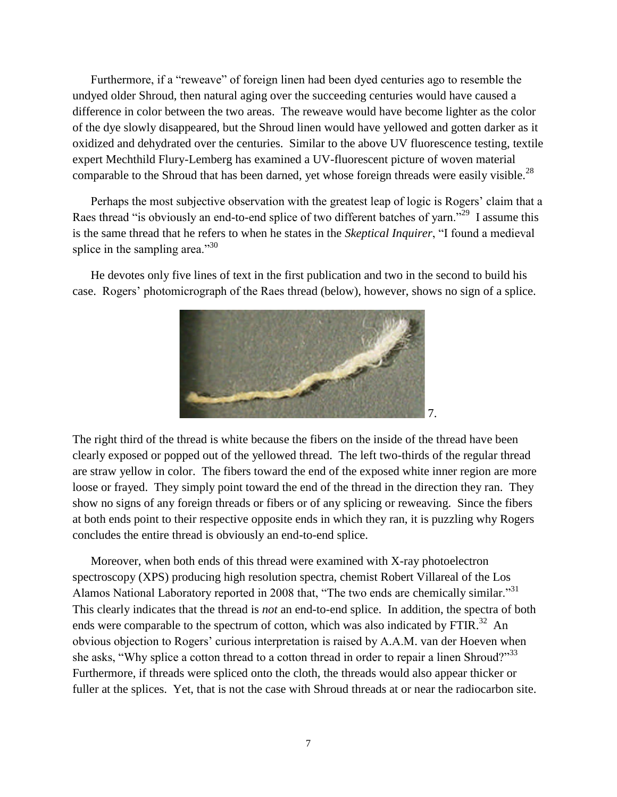Furthermore, if a "reweave" of foreign linen had been dyed centuries ago to resemble the undyed older Shroud, then natural aging over the succeeding centuries would have caused a difference in color between the two areas. The reweave would have become lighter as the color of the dye slowly disappeared, but the Shroud linen would have yellowed and gotten darker as it oxidized and dehydrated over the centuries. Similar to the above UV fluorescence testing, textile expert Mechthild Flury-Lemberg has examined a UV-fluorescent picture of woven material comparable to the Shroud that has been darned, yet whose foreign threads were easily visible.<sup>28</sup>

Perhaps the most subjective observation with the greatest leap of logic is Rogers' claim that a Raes thread "is obviously an end-to-end splice of two different batches of yarn."<sup>29</sup> I assume this is the same thread that he refers to when he states in the *Skeptical Inquirer*, "I found a medieval splice in the sampling area." $30$ 

He devotes only five lines of text in the first publication and two in the second to build his case. Rogers' photomicrograph of the Raes thread (below), however, shows no sign of a splice.



The right third of the thread is white because the fibers on the inside of the thread have been clearly exposed or popped out of the yellowed thread. The left two-thirds of the regular thread are straw yellow in color. The fibers toward the end of the exposed white inner region are more loose or frayed. They simply point toward the end of the thread in the direction they ran. They show no signs of any foreign threads or fibers or of any splicing or reweaving. Since the fibers at both ends point to their respective opposite ends in which they ran, it is puzzling why Rogers concludes the entire thread is obviously an end-to-end splice.

Moreover, when both ends of this thread were examined with X-ray photoelectron spectroscopy (XPS) producing high resolution spectra, chemist Robert Villareal of the Los Alamos National Laboratory reported in 2008 that, "The two ends are chemically similar."<sup>31</sup> This clearly indicates that the thread is *not* an end-to-end splice. In addition, the spectra of both ends were comparable to the spectrum of cotton, which was also indicated by FTIR.<sup>32</sup> An obvious objection to Rogers' curious interpretation is raised by A.A.M. van der Hoeven when she asks, "Why splice a cotton thread to a cotton thread in order to repair a linen Shroud?"<sup>33</sup> Furthermore, if threads were spliced onto the cloth, the threads would also appear thicker or fuller at the splices. Yet, that is not the case with Shroud threads at or near the radiocarbon site.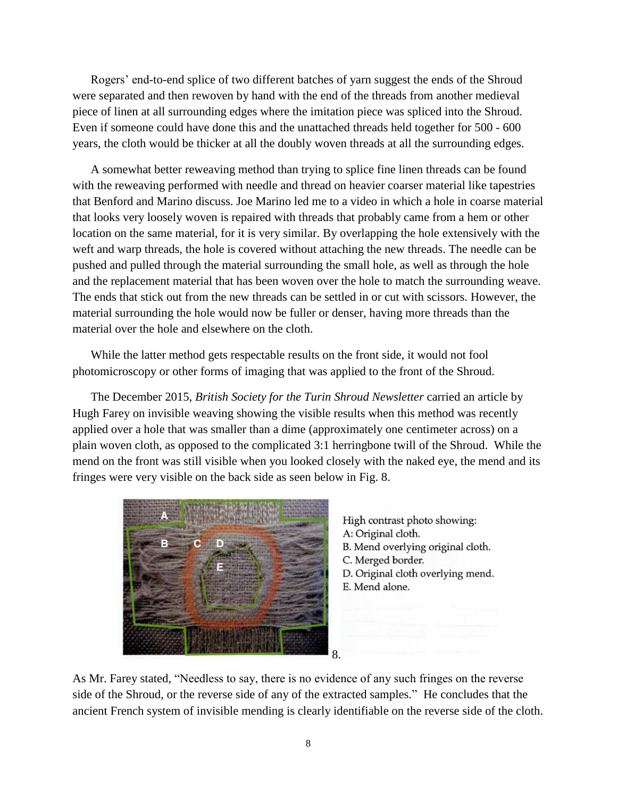Rogers' end-to-end splice of two different batches of yarn suggest the ends of the Shroud were separated and then rewoven by hand with the end of the threads from another medieval piece of linen at all surrounding edges where the imitation piece was spliced into the Shroud. Even if someone could have done this and the unattached threads held together for 500 - 600 years, the cloth would be thicker at all the doubly woven threads at all the surrounding edges.

A somewhat better reweaving method than trying to splice fine linen threads can be found with the reweaving performed with needle and thread on heavier coarser material like tapestries that Benford and Marino discuss. Joe Marino led me to a video in which a hole in coarse material that looks very loosely woven is repaired with threads that probably came from a hem or other location on the same material, for it is very similar. By overlapping the hole extensively with the weft and warp threads, the hole is covered without attaching the new threads. The needle can be pushed and pulled through the material surrounding the small hole, as well as through the hole and the replacement material that has been woven over the hole to match the surrounding weave. The ends that stick out from the new threads can be settled in or cut with scissors. However, the material surrounding the hole would now be fuller or denser, having more threads than the material over the hole and elsewhere on the cloth.

While the latter method gets respectable results on the front side, it would not fool photomicroscopy or other forms of imaging that was applied to the front of the Shroud.

The December 2015, *British Society for the Turin Shroud Newsletter* carried an article by Hugh Farey on invisible weaving showing the visible results when this method was recently applied over a hole that was smaller than a dime (approximately one centimeter across) on a plain woven cloth, as opposed to the complicated 3:1 herringbone twill of the Shroud. While the mend on the front was still visible when you looked closely with the naked eye, the mend and its fringes were very visible on the back side as seen below in Fig. 8.



High contrast photo showing: A: Original cloth. B. Mend overlying original cloth. C. Merged border. D. Original cloth overlying mend. E. Mend alone.

As Mr. Farey stated, "Needless to say, there is no evidence of any such fringes on the reverse side of the Shroud, or the reverse side of any of the extracted samples." He concludes that the ancient French system of invisible mending is clearly identifiable on the reverse side of the cloth.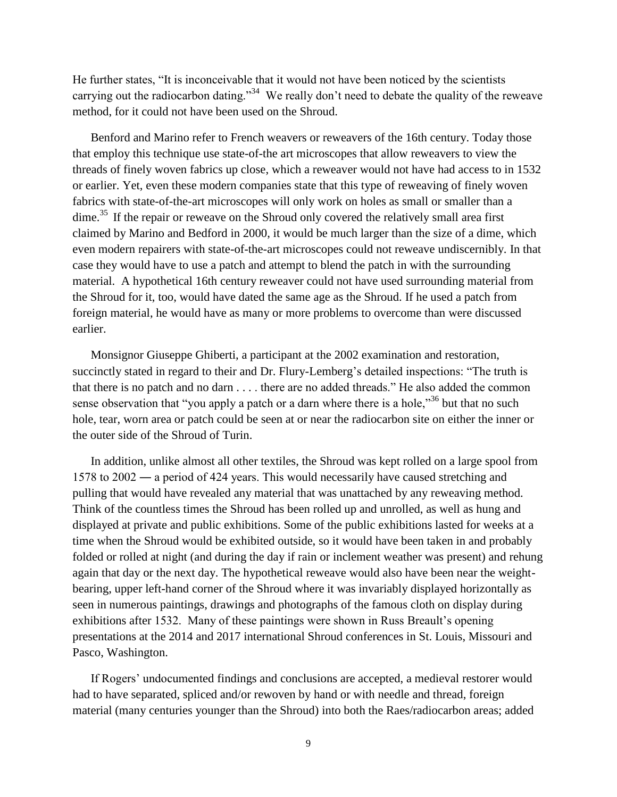He further states, "It is inconceivable that it would not have been noticed by the scientists carrying out the radiocarbon dating."<sup>34</sup> We really don't need to debate the quality of the reweave method, for it could not have been used on the Shroud.

Benford and Marino refer to French weavers or reweavers of the 16th century. Today those that employ this technique use state-of-the art microscopes that allow reweavers to view the threads of finely woven fabrics up close, which a reweaver would not have had access to in 1532 or earlier. Yet, even these modern companies state that this type of reweaving of finely woven fabrics with state-of-the-art microscopes will only work on holes as small or smaller than a dime.<sup>35</sup> If the repair or reweave on the Shroud only covered the relatively small area first claimed by Marino and Bedford in 2000, it would be much larger than the size of a dime, which even modern repairers with state-of-the-art microscopes could not reweave undiscernibly. In that case they would have to use a patch and attempt to blend the patch in with the surrounding material. A hypothetical 16th century reweaver could not have used surrounding material from the Shroud for it, too, would have dated the same age as the Shroud. If he used a patch from foreign material, he would have as many or more problems to overcome than were discussed earlier.

Monsignor Giuseppe Ghiberti, a participant at the 2002 examination and restoration, succinctly stated in regard to their and Dr. Flury-Lemberg's detailed inspections: "The truth is that there is no patch and no darn . . . . there are no added threads." He also added the common sense observation that "you apply a patch or a darn where there is a hole,"<sup>36</sup> but that no such hole, tear, worn area or patch could be seen at or near the radiocarbon site on either the inner or the outer side of the Shroud of Turin.

In addition, unlike almost all other textiles, the Shroud was kept rolled on a large spool from 1578 to 2002 ― a period of 424 years. This would necessarily have caused stretching and pulling that would have revealed any material that was unattached by any reweaving method. Think of the countless times the Shroud has been rolled up and unrolled, as well as hung and displayed at private and public exhibitions. Some of the public exhibitions lasted for weeks at a time when the Shroud would be exhibited outside, so it would have been taken in and probably folded or rolled at night (and during the day if rain or inclement weather was present) and rehung again that day or the next day. The hypothetical reweave would also have been near the weightbearing, upper left-hand corner of the Shroud where it was invariably displayed horizontally as seen in numerous paintings, drawings and photographs of the famous cloth on display during exhibitions after 1532. Many of these paintings were shown in Russ Breault's opening presentations at the 2014 and 2017 international Shroud conferences in St. Louis, Missouri and Pasco, Washington.

If Rogers' undocumented findings and conclusions are accepted, a medieval restorer would had to have separated, spliced and/or rewoven by hand or with needle and thread, foreign material (many centuries younger than the Shroud) into both the Raes/radiocarbon areas; added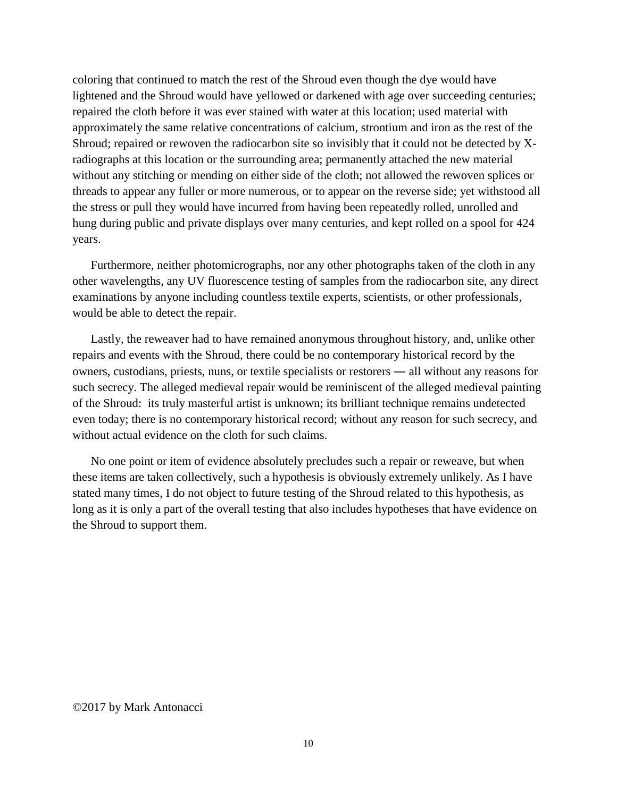coloring that continued to match the rest of the Shroud even though the dye would have lightened and the Shroud would have yellowed or darkened with age over succeeding centuries; repaired the cloth before it was ever stained with water at this location; used material with approximately the same relative concentrations of calcium, strontium and iron as the rest of the Shroud; repaired or rewoven the radiocarbon site so invisibly that it could not be detected by Xradiographs at this location or the surrounding area; permanently attached the new material without any stitching or mending on either side of the cloth; not allowed the rewoven splices or threads to appear any fuller or more numerous, or to appear on the reverse side; yet withstood all the stress or pull they would have incurred from having been repeatedly rolled, unrolled and hung during public and private displays over many centuries, and kept rolled on a spool for 424 years.

Furthermore, neither photomicrographs, nor any other photographs taken of the cloth in any other wavelengths, any UV fluorescence testing of samples from the radiocarbon site, any direct examinations by anyone including countless textile experts, scientists, or other professionals, would be able to detect the repair.

Lastly, the reweaver had to have remained anonymous throughout history, and, unlike other repairs and events with the Shroud, there could be no contemporary historical record by the owners, custodians, priests, nuns, or textile specialists or restorers ― all without any reasons for such secrecy. The alleged medieval repair would be reminiscent of the alleged medieval painting of the Shroud: its truly masterful artist is unknown; its brilliant technique remains undetected even today; there is no contemporary historical record; without any reason for such secrecy, and without actual evidence on the cloth for such claims.

No one point or item of evidence absolutely precludes such a repair or reweave, but when these items are taken collectively, such a hypothesis is obviously extremely unlikely. As I have stated many times, I do not object to future testing of the Shroud related to this hypothesis, as long as it is only a part of the overall testing that also includes hypotheses that have evidence on the Shroud to support them.

#### ©2017 by Mark Antonacci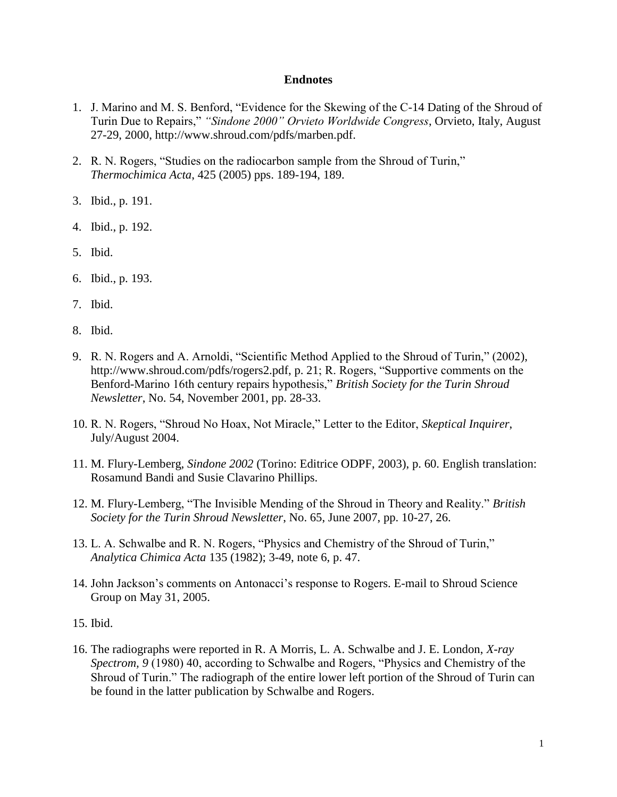### **Endnotes**

- 1. J. Marino and M. S. Benford, "Evidence for the Skewing of the C-14 Dating of the Shroud of Turin Due to Repairs," *"Sindone 2000" Orvieto Worldwide Congress*, Orvieto, Italy, August 27-29, 2000, http://www.shroud.com/pdfs/marben.pdf.
- 2. R. N. Rogers, "Studies on the radiocarbon sample from the Shroud of Turin," *Thermochimica Acta*, 425 (2005) pps. 189-194, 189.
- 3. Ibid., p. 191.
- 4. Ibid., p. 192.
- 5. Ibid.
- 6. Ibid., p. 193.
- 7. Ibid.
- 8. Ibid.
- 9. R. N. Rogers and A. Arnoldi, "Scientific Method Applied to the Shroud of Turin," (2002), [http://www.shroud.com/pdfs/rogers2.pdf,](http://www.shroud.com/pdfs/rogers2.pdf) p. 21; R. Rogers, "Supportive comments on the Benford-Marino 16th century repairs hypothesis," *British Society for the Turin Shroud Newsletter*, No. 54, November 2001, pp. 28-33.
- 10. R. N. Rogers, "Shroud No Hoax, Not Miracle," Letter to the Editor, *Skeptical Inquirer*, July/August 2004.
- 11. M. Flury-Lemberg, *Sindone 2002* (Torino: Editrice ODPF, 2003), p. 60. English translation: Rosamund Bandi and Susie Clavarino Phillips.
- 12. M. Flury-Lemberg, "The Invisible Mending of the Shroud in Theory and Reality." *British Society for the Turin Shroud Newsletter*, No. 65, June 2007, pp. 10-27, 26.
- 13. L. A. Schwalbe and R. N. Rogers, "Physics and Chemistry of the Shroud of Turin," *Analytica Chimica Acta* 135 (1982); 3-49, note 6, p. 47.
- 14. John Jackson's comments on Antonacci's response to Rogers. E-mail to Shroud Science Group on May 31, 2005.
- 15. Ibid.
- 16. The radiographs were reported in R. A Morris, L. A. Schwalbe and J. E. London, *X-ray Spectrom, 9* (1980) 40, according to Schwalbe and Rogers, "Physics and Chemistry of the Shroud of Turin." The radiograph of the entire lower left portion of the Shroud of Turin can be found in the latter publication by Schwalbe and Rogers.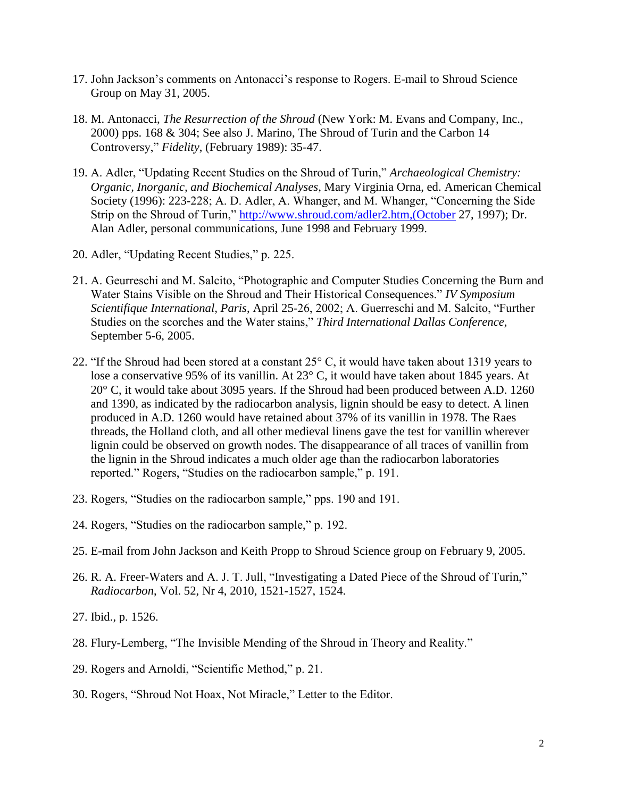- 17. John Jackson's comments on Antonacci's response to Rogers. E-mail to Shroud Science Group on May 31, 2005.
- 18. M. Antonacci, *The Resurrection of the Shroud* (New York: M. Evans and Company, Inc., 2000) pps. 168 & 304; See also J. Marino, The Shroud of Turin and the Carbon 14 Controversy," *Fidelity*, (February 1989): 35-47.
- 19. A. Adler, "Updating Recent Studies on the Shroud of Turin," *Archaeological Chemistry: Organic, Inorganic, and Biochemical Analyses*, Mary Virginia Orna, ed. American Chemical Society (1996): 223-228; A. D. Adler, A. Whanger, and M. Whanger, "Concerning the Side Strip on the Shroud of Turin," [http://www.shroud.com/adler2.htm,\(October](http://www.shroud.com/adler2.htm,(October) 27, 1997); Dr. Alan Adler, personal communications, June 1998 and February 1999.
- 20. Adler, "Updating Recent Studies," p. 225.
- 21. A. Geurreschi and M. Salcito, "Photographic and Computer Studies Concerning the Burn and Water Stains Visible on the Shroud and Their Historical Consequences." *IV Symposium Scientifique International, Paris*, April 25-26, 2002; A. Guerreschi and M. Salcito, "Further Studies on the scorches and the Water stains," *Third International Dallas Conference*, September 5-6, 2005.
- 22. "If the Shroud had been stored at a constant 25° C, it would have taken about 1319 years to lose a conservative 95% of its vanillin. At 23° C, it would have taken about 1845 years. At 20° C, it would take about 3095 years. If the Shroud had been produced between A.D. 1260 and 1390, as indicated by the radiocarbon analysis, lignin should be easy to detect. A linen produced in A.D. 1260 would have retained about 37% of its vanillin in 1978. The Raes threads, the Holland cloth, and all other medieval linens gave the test for vanillin wherever lignin could be observed on growth nodes. The disappearance of all traces of vanillin from the lignin in the Shroud indicates a much older age than the radiocarbon laboratories reported." Rogers, "Studies on the radiocarbon sample," p. 191.
- 23. Rogers, "Studies on the radiocarbon sample," pps. 190 and 191.
- 24. Rogers, "Studies on the radiocarbon sample," p. 192.
- 25. E-mail from John Jackson and Keith Propp to Shroud Science group on February 9, 2005.
- 26. R. A. Freer-Waters and A. J. T. Jull, "Investigating a Dated Piece of the Shroud of Turin," *Radiocarbon*, Vol. 52, Nr 4, 2010, 1521-1527, 1524.
- 27. Ibid., p. 1526.
- 28. Flury-Lemberg, "The Invisible Mending of the Shroud in Theory and Reality."
- 29. Rogers and Arnoldi, "Scientific Method," p. 21.
- 30. Rogers, "Shroud Not Hoax, Not Miracle," Letter to the Editor.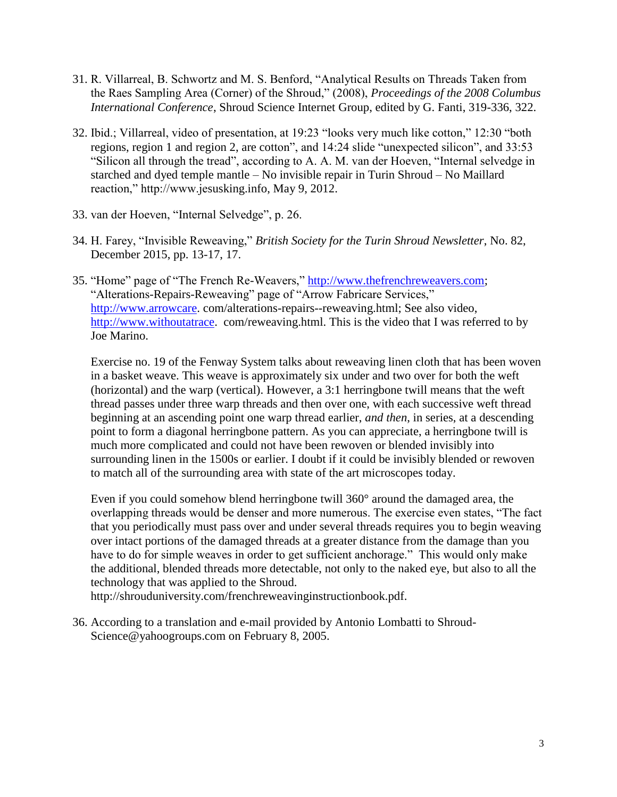- 31. R. Villarreal, B. Schwortz and M. S. Benford, "Analytical Results on Threads Taken from the Raes Sampling Area (Corner) of the Shroud," (2008), *Proceedings of the 2008 Columbus International Conference*, Shroud Science Internet Group, edited by G. Fanti, 319-336, 322.
- 32. Ibid.; Villarreal, video of presentation, at 19:23 "looks very much like cotton," 12:30 "both regions, region 1 and region 2, are cotton", and 14:24 slide "unexpected silicon", and 33:53 "Silicon all through the tread", according to A. A. M. van der Hoeven, "Internal selvedge in starched and dyed temple mantle – No invisible repair in Turin Shroud – No Maillard reaction," http://www.jesusking.info, May 9, 2012.
- 33. van der Hoeven, "Internal Selvedge", p. 26.
- 34. H. Farey, "Invisible Reweaving," *British Society for the Turin Shroud Newsletter*, No. 82, December 2015, pp. 13-17, 17.
- 35. "Home" page of "The French Re-Weavers," [http://www.thefrenchreweavers.com;](http://www.thefrenchreweavers.com/) "Alterations-Repairs-Reweaving" page of "Arrow Fabricare Services," [http://www.arrowcare.](http://www.arrowcare/) com/alterations-repairs--reweaving.html; See also video, [http://www.withoutatrace.](http://www.withoutatrace/) com/reweaving.html. This is the video that I was referred to by Joe Marino.

Exercise no. 19 of the Fenway System talks about reweaving linen cloth that has been woven in a basket weave. This weave is approximately six under and two over for both the weft (horizontal) and the warp (vertical). However, a 3:1 herringbone twill means that the weft thread passes under three warp threads and then over one, with each successive weft thread beginning at an ascending point one warp thread earlier, *and then*, in series, at a descending point to form a diagonal herringbone pattern. As you can appreciate, a herringbone twill is much more complicated and could not have been rewoven or blended invisibly into surrounding linen in the 1500s or earlier. I doubt if it could be invisibly blended or rewoven to match all of the surrounding area with state of the art microscopes today.

Even if you could somehow blend herringbone twill 360° around the damaged area, the overlapping threads would be denser and more numerous. The exercise even states, "The fact that you periodically must pass over and under several threads requires you to begin weaving over intact portions of the damaged threads at a greater distance from the damage than you have to do for simple weaves in order to get sufficient anchorage." This would only make the additional, blended threads more detectable, not only to the naked eye, but also to all the technology that was applied to the Shroud.

http://shrouduniversity.com/frenchreweavinginstructionbook.pdf.

36. According to a translation and e-mail provided by Antonio Lombatti to Shroud-Science@yahoogroups.com on February 8, 2005.